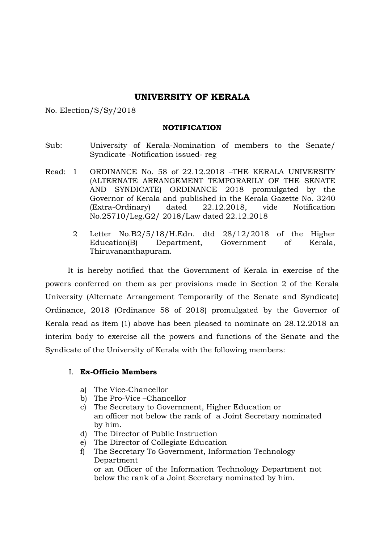## UNIVERSITY OF KERALA

No. Election/S/Sy/2018

#### NOTIFICATION

- Sub: University of Kerala-Nomination of members to the Senate/ Syndicate -Notification issued- reg
- Read: 1 ORDINANCE No. 58 of 22.12.2018 –THE KERALA UNIVERSITY (ALTERNATE ARRANGEMENT TEMPORARILY OF THE SENATE AND SYNDICATE) ORDINANCE 2018 promulgated by the Governor of Kerala and published in the Kerala Gazette No. 3240 (Extra-Ordinary) dated 22.12.2018, vide Notification No.25710/Leg.G2/ 2018/Law dated 22.12.2018
	- 2 Letter No.B2/5/18/H.Edn. dtd 28/12/2018 of the Higher Education(B) Department, Government of Kerala, Thiruvananthapuram.

It is hereby notified that the Government of Kerala in exercise of the powers conferred on them as per provisions made in Section 2 of the Kerala University (Alternate Arrangement Temporarily of the Senate and Syndicate) Ordinance, 2018 (Ordinance 58 of 2018) promulgated by the Governor of Kerala read as item (1) above has been pleased to nominate on 28.12.2018 an interim body to exercise all the powers and functions of the Senate and the Syndicate of the University of Kerala with the following members:

#### I. Ex-Officio Members

- a) The Vice-Chancellor
- b) The Pro-Vice –Chancellor
- c) The Secretary to Government, Higher Education or an officer not below the rank of a Joint Secretary nominated by him.
- d) The Director of Public Instruction
- e) The Director of Collegiate Education
- f) The Secretary To Government, Information Technology Department or an Officer of the Information Technology Department not below the rank of a Joint Secretary nominated by him.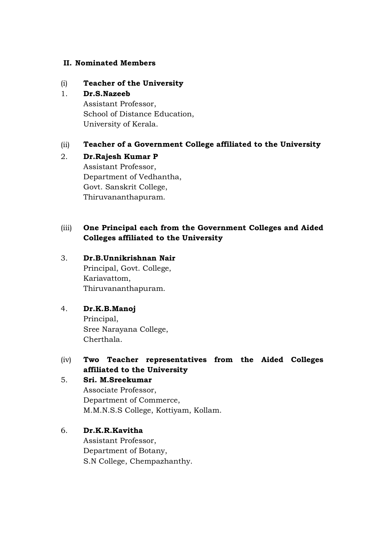#### II. Nominated Members

### (i) Teacher of the University

### 1. Dr.S.Nazeeb

Assistant Professor, School of Distance Education, University of Kerala.

## (ii) Teacher of a Government College affiliated to the University

### 2. Dr.Rajesh Kumar P Assistant Professor,

Department of Vedhantha, Govt. Sanskrit College, Thiruvananthapuram.

# (iii) One Principal each from the Government Colleges and Aided Colleges affiliated to the University

### 3. Dr.B.Unnikrishnan Nair

Principal, Govt. College, Kariavattom, Thiruvananthapuram.

## 4. Dr.K.B.Manoj

Principal, Sree Narayana College, Cherthala.

## (iv) Two Teacher representatives from the Aided Colleges affiliated to the University

# 5. Sri. M.Sreekumar Associate Professor, Department of Commerce, M.M.N.S.S College, Kottiyam, Kollam.

## 6. Dr.K.R.Kavitha

Assistant Professor, Department of Botany, S.N College, Chempazhanthy.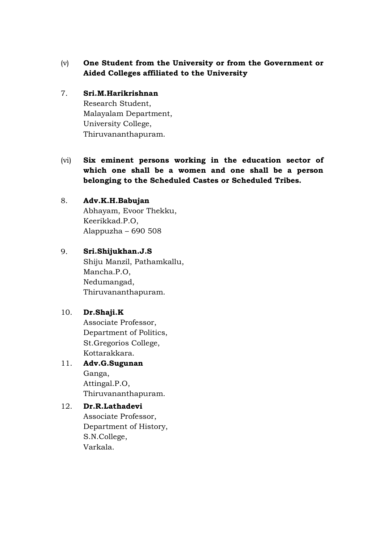- (v) One Student from the University or from the Government or Aided Colleges affiliated to the University
- 7. Sri.M.Harikrishnan Research Student, Malayalam Department, University College, Thiruvananthapuram.
- (vi) Six eminent persons working in the education sector of which one shall be a women and one shall be a person belonging to the Scheduled Castes or Scheduled Tribes.

## 8. Adv.K.H.Babujan Abhayam, Evoor Thekku, Keerikkad.P.O, Alappuzha – 690 508

9. Sri.Shijukhan.J.S Shiju Manzil, Pathamkallu, Mancha.P.O, Nedumangad, Thiruvananthapuram.

## 10. Dr.Shaji.K

Associate Professor, Department of Politics, St.Gregorios College, Kottarakkara.

# 11. Adv.G.Sugunan

Ganga, Attingal.P.O, Thiruvananthapuram.

## 12. Dr.R.Lathadevi

Associate Professor, Department of History, S.N.College, Varkala.